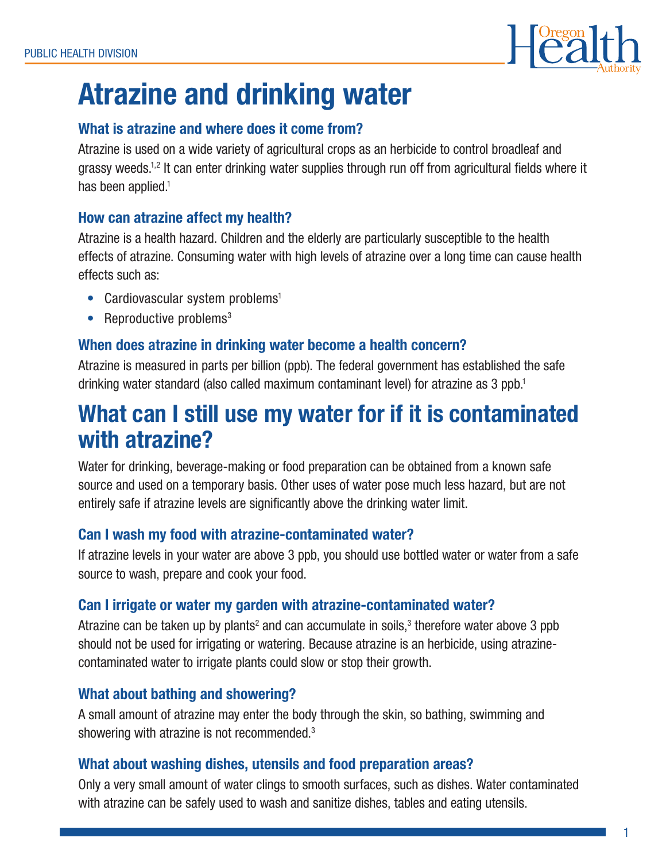

# Atrazine and drinking water

# What is atrazine and where does it come from?

Atrazine is used on a wide variety of agricultural crops as an herbicide to control broadleaf and grassy weeds.1,2 It can enter drinking water supplies through run off from agricultural fields where it has been applied.<sup>1</sup>

# How can atrazine affect my health?

Atrazine is a health hazard. Children and the elderly are particularly susceptible to the health effects of atrazine. Consuming water with high levels of atrazine over a long time can cause health effects such as:

- Cardiovascular system problems<sup>1</sup>
- Reproductive problems $3$

# When does atrazine in drinking water become a health concern?

Atrazine is measured in parts per billion (ppb). The federal government has established the safe drinking water standard (also called maximum contaminant level) for atrazine as 3 ppb.1

# What can I still use my water for if it is contaminated with atrazine?

Water for drinking, beverage-making or food preparation can be obtained from a known safe source and used on a temporary basis. Other uses of water pose much less hazard, but are not entirely safe if atrazine levels are significantly above the drinking water limit.

# Can I wash my food with atrazine-contaminated water?

If atrazine levels in your water are above 3 ppb, you should use bottled water or water from a safe source to wash, prepare and cook your food.

# Can I irrigate or water my garden with atrazine-contaminated water?

Atrazine can be taken up by plants<sup>2</sup> and can accumulate in soils,<sup>3</sup> therefore water above 3 ppb should not be used for irrigating or watering. Because atrazine is an herbicide, using atrazinecontaminated water to irrigate plants could slow or stop their growth.

# What about bathing and showering?

A small amount of atrazine may enter the body through the skin, so bathing, swimming and showering with atrazine is not recommended.3

# What about washing dishes, utensils and food preparation areas?

Only a very small amount of water clings to smooth surfaces, such as dishes. Water contaminated with atrazine can be safely used to wash and sanitize dishes, tables and eating utensils.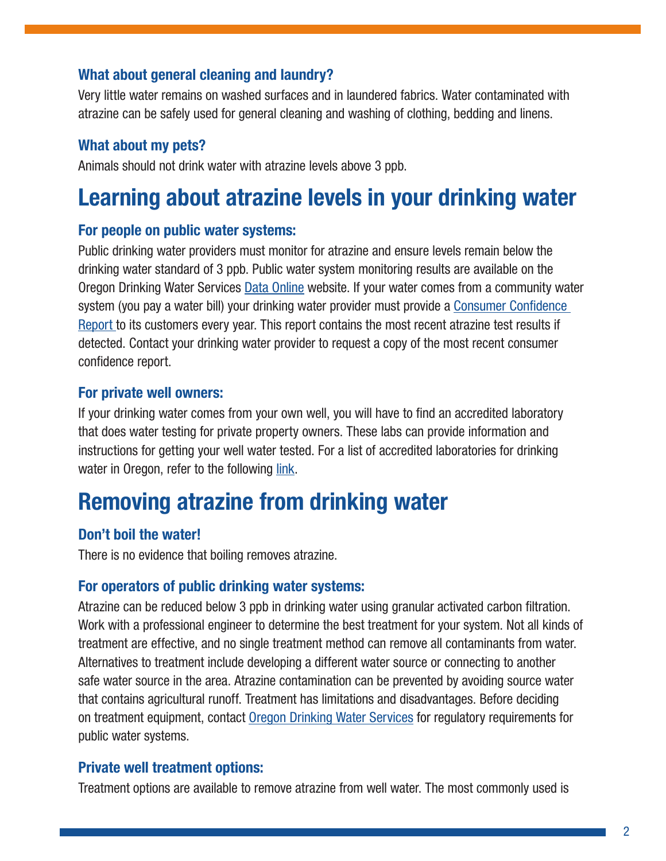#### What about general cleaning and laundry?

Very little water remains on washed surfaces and in laundered fabrics. Water contaminated with atrazine can be safely used for general cleaning and washing of clothing, bedding and linens.

#### What about my pets?

Animals should not drink water with atrazine levels above 3 ppb.

# Learning about atrazine levels in your drinking water

#### For people on public water systems:

Public drinking water providers must monitor for atrazine and ensure levels remain below the drinking water standard of 3 ppb. Public water system monitoring results are available on the Oregon Drinking Water Services [Data Online](https://yourwater.oregon.gov/) website. If your water comes from a community water system (you pay a water bill) your drinking water provider must provide a [Consumer Confidence](http://public.health.oregon.gov/HealthyEnvironments/DrinkingWater/Monitoring/Pages/ccr.aspx)  [Report t](http://public.health.oregon.gov/HealthyEnvironments/DrinkingWater/Monitoring/Pages/ccr.aspx)o its customers every year. This report contains the most recent atrazine test results if detected. Contact your drinking water provider to request a copy of the most recent consumer confidence report.

#### For private well owners:

If your drinking water comes from your own well, you will have to find an accredited laboratory that does water testing for private property owners. These labs can provide information and instructions for getting your well water tested. For a list of accredited laboratories for drinking water in Oregon, refer to the following [link.](http://public.health.oregon.gov/LaboratoryServices/EnvironmentalLaboratoryAccreditation/Documents/AllLabsDWMatrix.pdf)

# Removing atrazine from drinking water

# Don't boil the water!

There is no evidence that boiling removes atrazine.

#### For operators of public drinking water systems:

Atrazine can be reduced below 3 ppb in drinking water using granular activated carbon filtration. Work with a professional engineer to determine the best treatment for your system. Not all kinds of treatment are effective, and no single treatment method can remove all contaminants from water. Alternatives to treatment include developing a different water source or connecting to another safe water source in the area. Atrazine contamination can be prevented by avoiding source water that contains agricultural runoff. Treatment has limitations and disadvantages. Before deciding on treatment equipment, contact [Oregon Drinking Water Services](http://public.health.oregon.gov/PHD/Directory/Pages/Program.aspx?pid=58) for regulatory requirements for public water systems.

#### Private well treatment options:

Treatment options are available to remove atrazine from well water. The most commonly used is